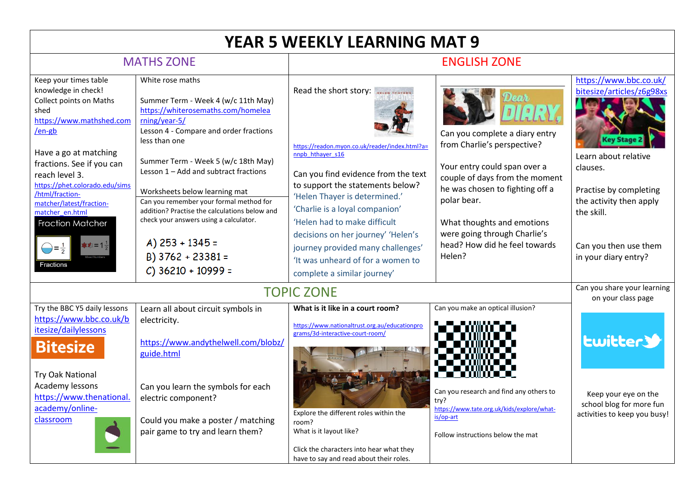## **YEAR 5 WEEKLY LEARNING MAT 9**

## MATHS ZONE ENGLISH ZONE Keep your times table White rose maths [https://www.bbc.co.uk/](https://www.bbc.co.uk/bitesize/articles/z6g98xs) Read the short story: **RECEN TEXTES** knowledge in check! [bitesize/articles/z6g98xs](https://www.bbc.co.uk/bitesize/articles/z6g98xs) Collect points on Maths Summer Term - Week 4 (w/c 11th May) shed [https://whiterosemaths.com/homelea](https://whiterosemaths.com/homelearning/year-5/) [https://www.mathshed.com](https://www.mathshed.com/en-gb) [rning/year-5/](https://whiterosemaths.com/homelearning/year-5/) [/en-gb](https://www.mathshed.com/en-gb) Lesson 4 - Compare and order fractions Can you complete a diary entry less than one ev Stage from Charlie's perspective? [https://readon.myon.co.uk/reader/index.html?a=](https://readon.myon.co.uk/reader/index.html?a=nnpb_hthayer_s16) Have a go at matching nnpb\_hthaver\_s16 Learn about relative Summer Term - Week 5 (w/c 18th May) fractions. See if you can Your entry could span over a clauses. Lesson 1 – Add and subtract fractions Can you find evidence from the text reach level 3. couple of days from the moment [https://phet.colorado.edu/sims](https://phet.colorado.edu/sims/html/fraction-matcher/latest/fraction-matcher_en.html) to support the statements below? he was chosen to fighting off a Practise by completing Worksheets below learning mat [/html/fraction-](https://phet.colorado.edu/sims/html/fraction-matcher/latest/fraction-matcher_en.html)'Helen Thayer is determined.' polar bear. the activity then apply Can you remember your formal method for [matcher/latest/fraction-](https://phet.colorado.edu/sims/html/fraction-matcher/latest/fraction-matcher_en.html)'Charlie is a loyal companion' addition? Practise the calculations below and the skill. [matcher\\_en.html](https://phet.colorado.edu/sims/html/fraction-matcher/latest/fraction-matcher_en.html) check your answers using a calculator. 'Helen had to make difficult **Fraction Matcher** What thoughts and emotions were going through Charlie's decisions on her journey' 'Helen's A)  $253 + 1345 =$ head? How did he feel towards Can you then use them journey provided many challenges'  $\bigoplus = \frac{1}{2}$ B) 3762 + 23381 = Helen? in your diary entry? 'It was unheard of for a women to Fractions  $C$ ) 36210 + 10999 = complete a similar journey' TOPIC ZONE Can you share your learning on your class page Try the BBC Y5 daily lessons Learn all about circuit symbols in **What is it like in a court room?** Can you make an optical illusion? [https://www.bbc.co.uk/b](https://www.bbc.co.uk/bitesize/dailylessons) electricity. [https://www.nationaltrust.org.au/educationpro](https://www.nationaltrust.org.au/educationprograms/3d-interactive-court-room/) [itesize/dailylessons](https://www.bbc.co.uk/bitesize/dailylessons) [grams/3d-interactive-court-room/](https://www.nationaltrust.org.au/educationprograms/3d-interactive-court-room/) **Lwitter>** [https://www.andythelwell.com/blobz/](https://www.andythelwell.com/blobz/guide.html) **Bitesize** [guide.html](https://www.andythelwell.com/blobz/guide.html) Try Oak National r an mara Academy lessons Can you learn the symbols for each Can you research and find any others to Keep your eye on the [https://www.thenational.](https://www.thenational.academy/online-classroom) electric component? try? school blog for more fun [academy/online](https://www.thenational.academy/online-classroom)[https://www.tate.org.uk/kids/explore/what-](https://www.tate.org.uk/kids/explore/what-is/op-art)Explore the different roles within the activities to keep you busy! [is/op-art](https://www.tate.org.uk/kids/explore/what-is/op-art) Could you make a poster / matching [classroom](https://www.thenational.academy/online-classroom) room? pair game to try and learn them? What is it layout like? Follow instructions below the matClick the characters into hear what they have to say and read about their roles.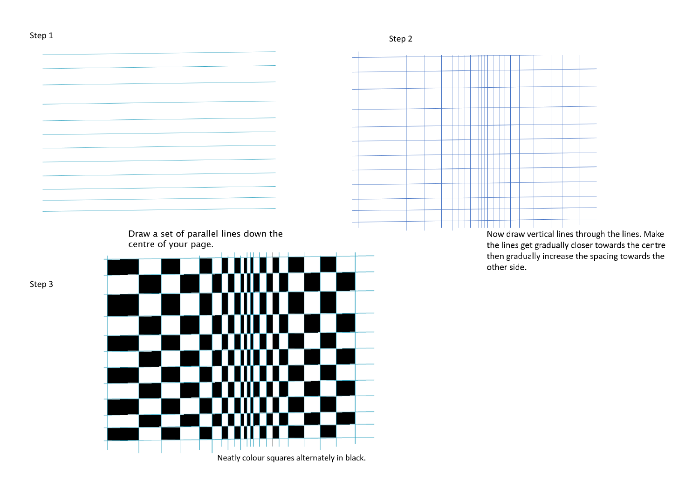



Now draw vertical lines through the lines. Make the lines get gradually closer towards the centre then gradually increase the spacing towards the

Step 3

Neatly colour squares alternately in black.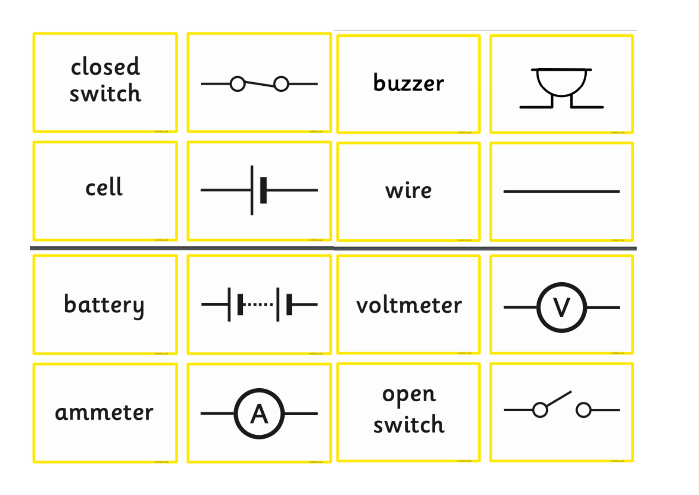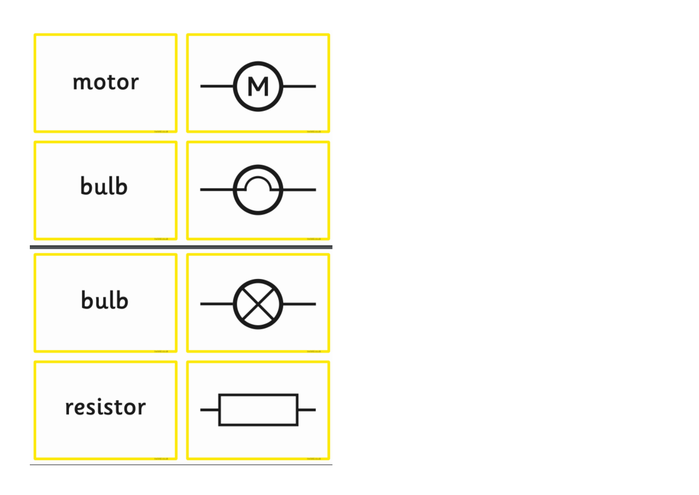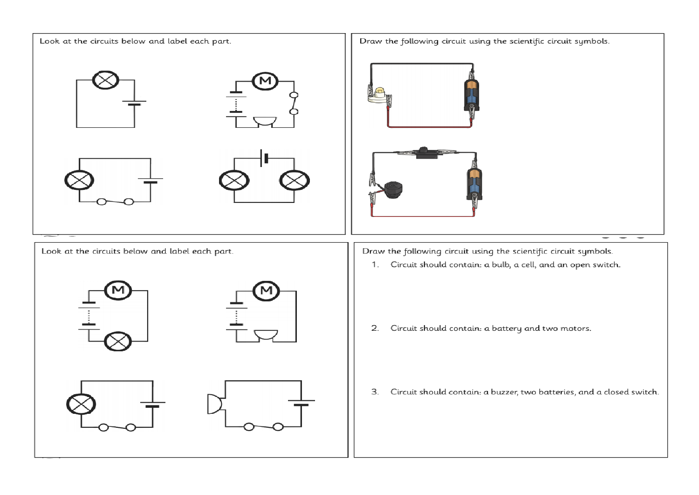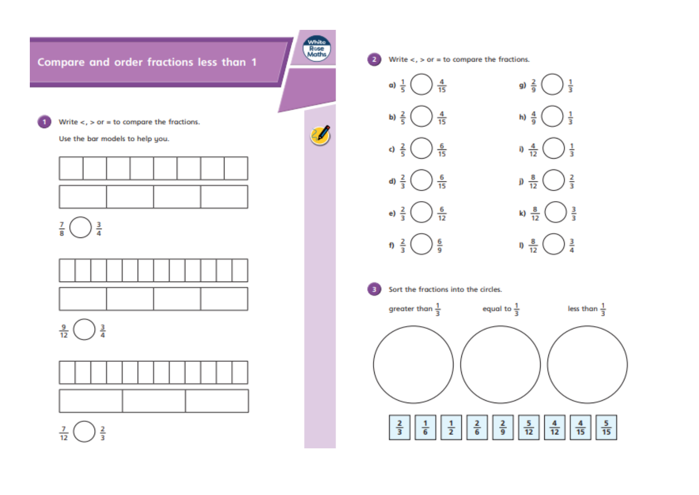

**White**<br>Rose<br>Maths

Write  $\lt$ ,  $>$  or = to compare the fractions.

Use the bar models to help you.



 $\frac{3}{4}$  $\frac{7}{8}$ 



 $\frac{9}{12}$  $\frac{3}{4}$ 



 $\frac{7}{12}$  $rac{2}{3}$ 



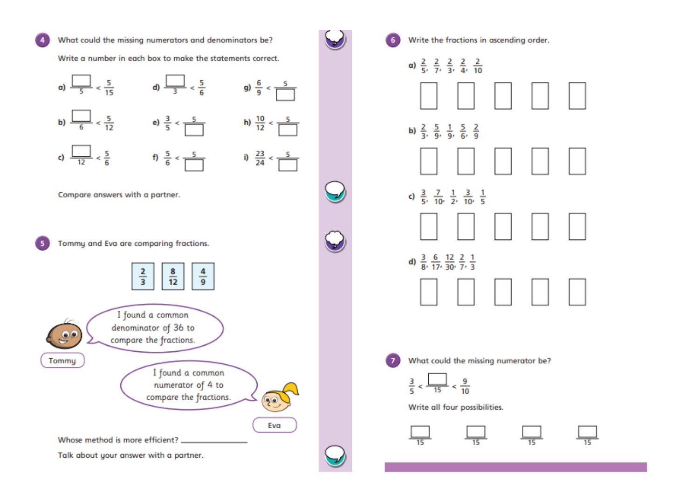

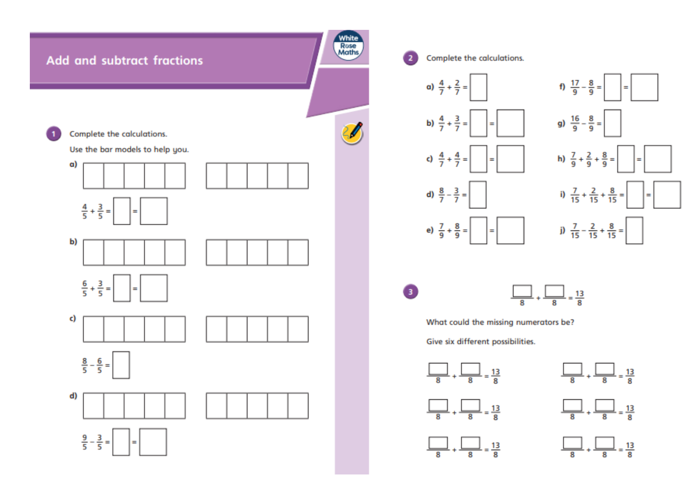